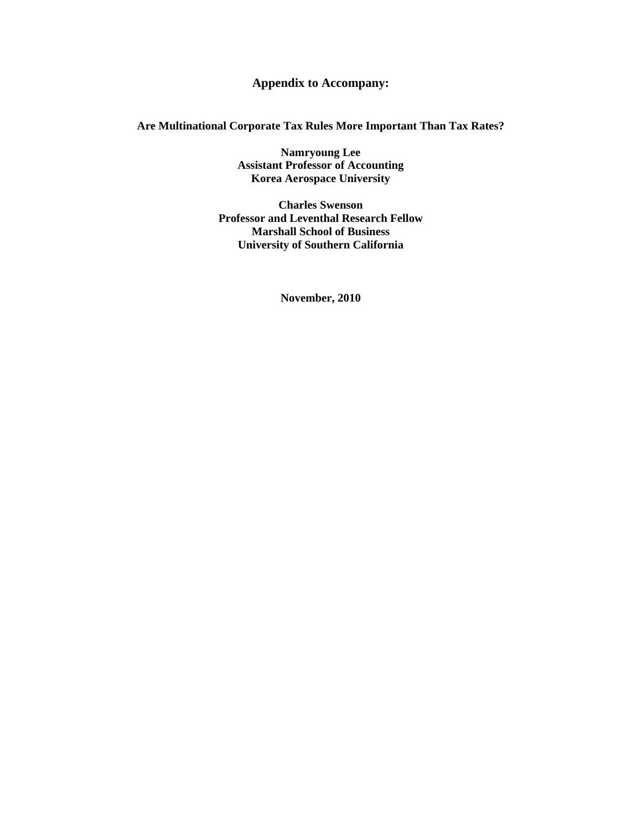## **Appendix to Accompany:**

## **Are Multinational Corporate Tax Rules More Important Than Tax Rates?**

**Namryoung Lee Assistant Professor of Accounting Korea Aerospace University** 

**Charles Swenson Professor and Leventhal Research Fellow Marshall School of Business University of Southern California** 

**November, 2010**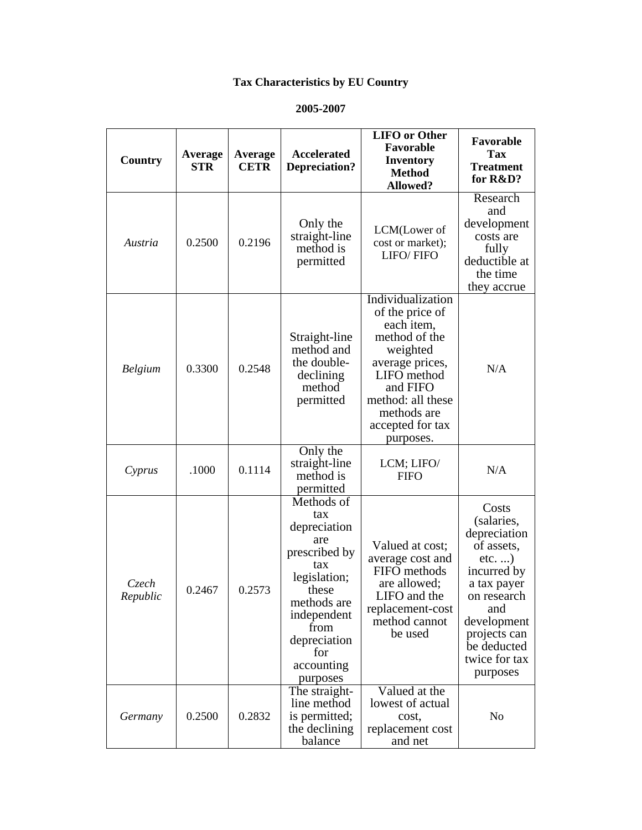## **Tax Characteristics by EU Country**

## **2005-2007**

| Country           | Average<br>STR | Average<br><b>CETR</b> | <b>Accelerated</b><br><b>Depreciation?</b>                                                                                                                                       | <b>LIFO</b> or Other<br>Favorable<br><b>Inventory</b><br><b>Method</b><br><b>Allowed?</b>                                                                                                          | Favorable<br><b>Tax</b><br><b>Treatment</b><br>for R&D?                                                                                                                                      |
|-------------------|----------------|------------------------|----------------------------------------------------------------------------------------------------------------------------------------------------------------------------------|----------------------------------------------------------------------------------------------------------------------------------------------------------------------------------------------------|----------------------------------------------------------------------------------------------------------------------------------------------------------------------------------------------|
| Austria           | 0.2500         | 0.2196                 | Only the<br>straight-line<br>method is<br>permitted                                                                                                                              | LCM(Lower of<br>cost or market);<br>LIFO/FIFO                                                                                                                                                      | Research<br>and<br>development<br>costs are<br>fully<br>deductible at<br>the time<br>they accrue                                                                                             |
| <b>Belgium</b>    | 0.3300         | 0.2548                 | Straight-line<br>method and<br>the double-<br>declining<br>method<br>permitted                                                                                                   | Individualization<br>of the price of<br>each item,<br>method of the<br>weighted<br>average prices,<br>LIFO method<br>and FIFO<br>method: all these<br>methods are<br>accepted for tax<br>purposes. | N/A                                                                                                                                                                                          |
| Cyprus            | .1000          | 0.1114                 | Only the<br>straight-line<br>method is<br>permitted                                                                                                                              | LCM; LIFO/<br><b>FIFO</b>                                                                                                                                                                          | N/A                                                                                                                                                                                          |
| Czech<br>Republic | 0.2467         | 0.2573                 | Methods of<br>tax<br>depreciation<br>are<br>prescribed by<br>tax<br>legislation;<br>these<br>methods are<br>independent<br>from<br>depreciation<br>for<br>accounting<br>purposes | Valued at cost;<br>average cost and<br>FIFO methods<br>are allowed;<br>LIFO and the<br>replacement-cost<br>method cannot<br>be used                                                                | Costs<br>(salaries,<br>depreciation<br>of assets,<br>$etc.$ )<br>incurred by<br>a tax payer<br>on research<br>and<br>development<br>projects can<br>be deducted<br>twice for tax<br>purposes |
| Germany           | 0.2500         | 0.2832                 | The straight-<br>line method<br>is permitted;<br>the declining<br>balance                                                                                                        | Valued at the<br>lowest of actual<br>cost,<br>replacement cost<br>and net                                                                                                                          | No                                                                                                                                                                                           |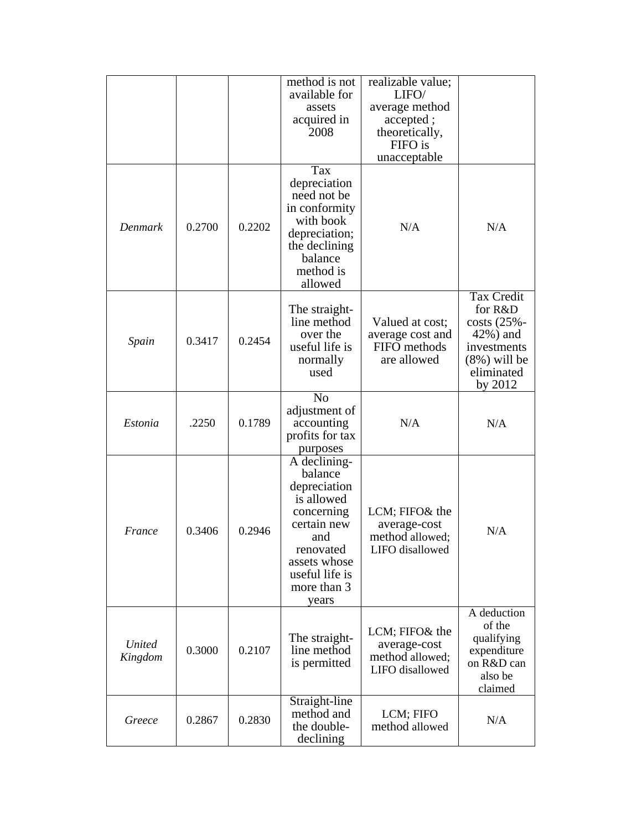|                          |        |        | method is not<br>available for<br>assets<br>acquired in<br>2008                                                                                                               | realizable value;<br>LIFO/<br>average method<br>accepted;<br>theoretically,<br>FIFO is<br>unacceptable |                                                                                                                    |
|--------------------------|--------|--------|-------------------------------------------------------------------------------------------------------------------------------------------------------------------------------|--------------------------------------------------------------------------------------------------------|--------------------------------------------------------------------------------------------------------------------|
| Denmark                  | 0.2700 | 0.2202 | Tax<br>depreciation<br>need not be<br>in conformity<br>with book<br>depreciation;<br>the declining<br>balance<br>method is<br>allowed                                         | N/A                                                                                                    | N/A                                                                                                                |
| Spain                    | 0.3417 | 0.2454 | The straight-<br>line method<br>over the<br>useful life is<br>normally<br>used                                                                                                | Valued at cost;<br>average cost and<br>FIFO methods<br>are allowed                                     | <b>Tax Credit</b><br>for R&D<br>costs (25%-<br>42%) and<br>investments<br>$(8\%)$ will be<br>eliminated<br>by 2012 |
| Estonia                  | .2250  | 0.1789 | N <sub>0</sub><br>adjustment of<br>accounting<br>profits for tax<br>purposes                                                                                                  | N/A                                                                                                    | N/A                                                                                                                |
| France                   | 0.3406 | 0.2946 | $\overline{A}$ declining-<br>balance<br>depreciation<br>is allowed<br>concerning<br>certain new<br>and<br>renovated<br>assets whose<br>useful life is<br>more than 3<br>years | LCM; FIFO& the<br>average-cost<br>method allowed;<br>LIFO disallowed                                   | N/A                                                                                                                |
| <b>United</b><br>Kingdom | 0.3000 | 0.2107 | The straight-<br>line method<br>is permitted                                                                                                                                  | LCM; FIFO& the<br>average-cost<br>method allowed;<br>LIFO disallowed                                   | A deduction<br>of the<br>qualifying<br>expenditure<br>on R&D can<br>also be<br>claimed                             |
| Greece                   | 0.2867 | 0.2830 | Straight-line<br>method and<br>the double-<br>declining                                                                                                                       | LCM; FIFO<br>method allowed                                                                            | N/A                                                                                                                |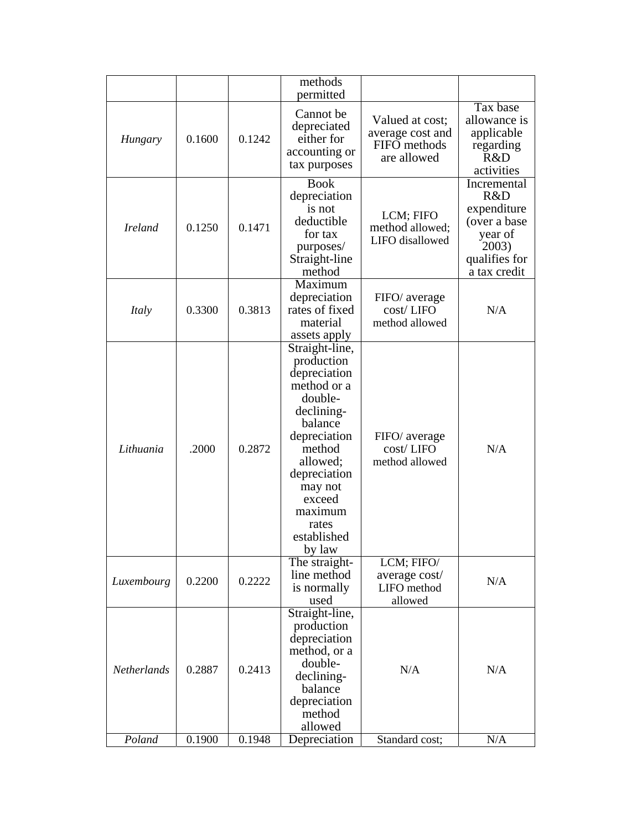|                    |        |        | methods<br>permitted                                                                                                                                                                                                    |                                                                    |                                                                                                        |
|--------------------|--------|--------|-------------------------------------------------------------------------------------------------------------------------------------------------------------------------------------------------------------------------|--------------------------------------------------------------------|--------------------------------------------------------------------------------------------------------|
| Hungary            | 0.1600 | 0.1242 | Cannot be<br>depreciated<br>either for<br>accounting or<br>tax purposes                                                                                                                                                 | Valued at cost;<br>average cost and<br>FIFO methods<br>are allowed | Tax base<br>allowance is<br>applicable<br>regarding<br>R&D<br>activities                               |
| <b>Ireland</b>     | 0.1250 | 0.1471 | <b>Book</b><br>depreciation<br>is not<br>deductible<br>for tax<br>purposes/<br>Straight-line<br>method                                                                                                                  | LCM; FIFO<br>method allowed;<br>LIFO disallowed                    | Incremental<br>R&D<br>expenditure<br>(over a base<br>year of<br>2003)<br>qualifies for<br>a tax credit |
| Italy              | 0.3300 | 0.3813 | Maximum<br>depreciation<br>rates of fixed<br>material<br>assets apply                                                                                                                                                   | FIFO/ average<br>cost/LIFO<br>method allowed                       | N/A                                                                                                    |
| Lithuania          | .2000  | 0.2872 | Straight-line,<br>production<br>depreciation<br>method or a<br>double-<br>declining-<br>balance<br>depreciation<br>method<br>allowed;<br>depreciation<br>may not<br>exceed<br>maximum<br>rates<br>established<br>by law | FIFO/ average<br>cost/LIFO<br>method allowed                       | N/A                                                                                                    |
| Luxembourg         | 0.2200 | 0.2222 | The straight-<br>line method<br>is normally<br>used                                                                                                                                                                     | LCM; FIFO/<br>average cost/<br>LIFO method<br>allowed              | N/A                                                                                                    |
| <b>Netherlands</b> | 0.2887 | 0.2413 | Straight-line,<br>production<br>depreciation<br>method, or a<br>double-<br>declining-<br>balance<br>depreciation<br>method<br>allowed                                                                                   | N/A                                                                | N/A                                                                                                    |
| Poland             | 0.1900 | 0.1948 | Depreciation                                                                                                                                                                                                            | Standard cost;                                                     | N/A                                                                                                    |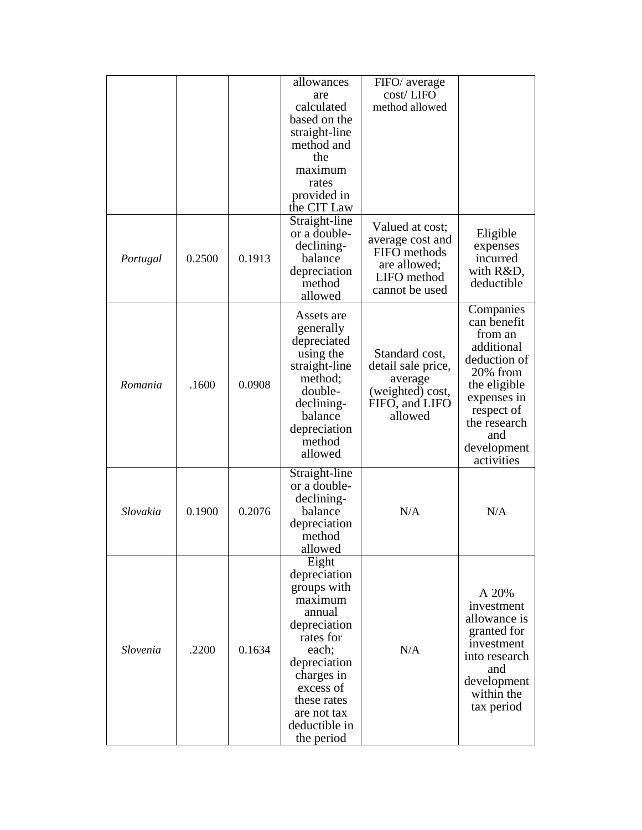|          |        |        | allowances    | FIFO/ average      |                            |
|----------|--------|--------|---------------|--------------------|----------------------------|
|          |        |        | are           | cost/LIFO          |                            |
|          |        |        | calculated    | method allowed     |                            |
|          |        |        | based on the  |                    |                            |
|          |        |        | straight-line |                    |                            |
|          |        |        | method and    |                    |                            |
|          |        |        | the           |                    |                            |
|          |        |        | maximum       |                    |                            |
|          |        |        | rates         |                    |                            |
|          |        |        | provided in   |                    |                            |
|          |        |        | the CIT Law   |                    |                            |
|          |        |        | Straight-line |                    |                            |
|          |        |        | or a double-  | Valued at cost;    | Eligible                   |
|          |        |        | declining-    | average cost and   | expenses                   |
| Portugal | 0.2500 | 0.1913 | balance       | FIFO methods       | incurred                   |
|          |        |        | depreciation  | are allowed;       | with R&D,                  |
|          |        |        | method        | LIFO method        | deductible                 |
|          |        |        | allowed       | cannot be used     |                            |
|          |        |        |               |                    |                            |
|          |        |        | Assets are    |                    | Companies<br>can benefit   |
|          |        |        | generally     |                    | from an                    |
|          |        |        | depreciated   |                    | additional                 |
|          |        |        | using the     | Standard cost,     | deduction of               |
|          |        |        | straight-line | detail sale price, | 20% from                   |
| Romania  | .1600  | 0.0908 | method;       | average            |                            |
|          |        |        | double-       | (weighted) cost,   | the eligible               |
|          |        |        | declining-    | FIFO, and LIFO     | expenses in                |
|          |        |        | balance       | allowed            | respect of<br>the research |
|          |        |        | depreciation  |                    | and                        |
|          |        |        | method        |                    |                            |
|          |        |        | allowed       |                    | development<br>activities  |
|          |        |        | Straight-line |                    |                            |
|          |        |        | or a double-  |                    |                            |
|          |        |        | declining-    |                    |                            |
| Slovakia | 0.1900 | 0.2076 | balance       | N/A                | N/A                        |
|          |        |        | depreciation  |                    |                            |
|          |        |        | method        |                    |                            |
|          |        |        | allowed       |                    |                            |
|          |        |        | Eight         |                    |                            |
|          |        |        | depreciation  |                    |                            |
|          |        |        | groups with   |                    |                            |
|          |        |        | maximum       |                    | A 20%                      |
|          |        |        | annual        |                    | investment                 |
|          |        |        | depreciation  |                    | allowance is               |
|          |        |        | rates for     |                    | granted for                |
| Slovenia | .2200  | 0.1634 | each;         | N/A                | investment                 |
|          |        |        | depreciation  |                    | into research              |
|          |        |        | charges in    |                    | and                        |
|          |        |        | excess of     |                    | development                |
|          |        |        | these rates   |                    | within the                 |
|          |        |        |               |                    | tax period                 |
|          |        |        | are not tax   |                    |                            |
|          |        |        | deductible in |                    |                            |
|          |        |        | the period    |                    |                            |